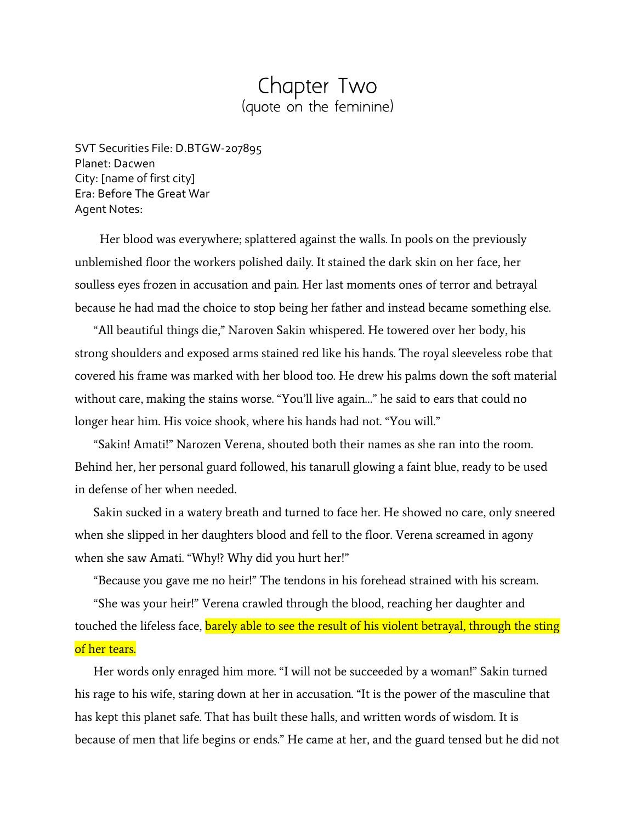## Chapter Two (quote on the feminine)

SVT Securities File: D.BTGW-207895 Planet: Dacwen City: [name of first city] Era: Before The Great War Agent Notes:

 Her blood was everywhere; splattered against the walls. In pools on the previously unblemished floor the workers polished daily. It stained the dark skin on her face, her soulless eyes frozen in accusation and pain. Her last moments ones of terror and betrayal because he had mad the choice to stop being her father and instead became something else.

"All beautiful things die," Naroven Sakin whispered. He towered over her body, his strong shoulders and exposed arms stained red like his hands. The royal sleeveless robe that covered his frame was marked with her blood too. He drew his palms down the soft material without care, making the stains worse. "You'll live again…" he said to ears that could no longer hear him. His voice shook, where his hands had not. "You will."

"Sakin! Amati!" Narozen Verena, shouted both their names as she ran into the room. Behind her, her personal guard followed, his tanarull glowing a faint blue, ready to be used in defense of her when needed.

Sakin sucked in a watery breath and turned to face her. He showed no care, only sneered when she slipped in her daughters blood and fell to the floor. Verena screamed in agony when she saw Amati. "Why!? Why did you hurt her!"

"Because you gave me no heir!" The tendons in his forehead strained with his scream.

"She was your heir!" Verena crawled through the blood, reaching her daughter and touched the lifeless face, barely able to see the result of his violent betrayal, through the sting of her tears.

Her words only enraged him more. "I will not be succeeded by a woman!" Sakin turned his rage to his wife, staring down at her in accusation. "It is the power of the masculine that has kept this planet safe. That has built these halls, and written words of wisdom. It is because of men that life begins or ends." He came at her, and the guard tensed but he did not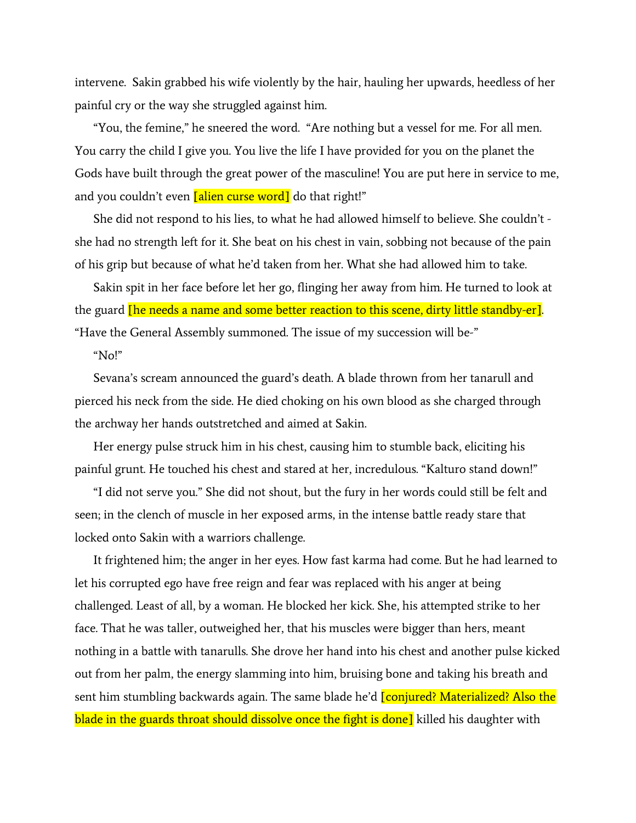intervene. Sakin grabbed his wife violently by the hair, hauling her upwards, heedless of her painful cry or the way she struggled against him.

"You, the femine," he sneered the word. "Are nothing but a vessel for me. For all men. You carry the child I give you. You live the life I have provided for you on the planet the Gods have built through the great power of the masculine! You are put here in service to me, and you couldn't even [alien curse word] do that right!"

She did not respond to his lies, to what he had allowed himself to believe. She couldn't she had no strength left for it. She beat on his chest in vain, sobbing not because of the pain of his grip but because of what he'd taken from her. What she had allowed him to take.

Sakin spit in her face before let her go, flinging her away from him. He turned to look at the guard **[he needs a name and some better reaction to this scene, dirty little standby-er]**. "Have the General Assembly summoned. The issue of my succession will be-"

## "No!"

Sevana's scream announced the guard's death. A blade thrown from her tanarull and pierced his neck from the side. He died choking on his own blood as she charged through the archway her hands outstretched and aimed at Sakin.

Her energy pulse struck him in his chest, causing him to stumble back, eliciting his painful grunt. He touched his chest and stared at her, incredulous. "Kalturo stand down!"

"I did not serve you." She did not shout, but the fury in her words could still be felt and seen; in the clench of muscle in her exposed arms, in the intense battle ready stare that locked onto Sakin with a warriors challenge.

It frightened him; the anger in her eyes. How fast karma had come. But he had learned to let his corrupted ego have free reign and fear was replaced with his anger at being challenged. Least of all, by a woman. He blocked her kick. She, his attempted strike to her face. That he was taller, outweighed her, that his muscles were bigger than hers, meant nothing in a battle with tanarulls. She drove her hand into his chest and another pulse kicked out from her palm, the energy slamming into him, bruising bone and taking his breath and sent him stumbling backwards again. The same blade he'd *[conjured? Materialized? Also the* blade in the guards throat should dissolve once the fight is done] killed his daughter with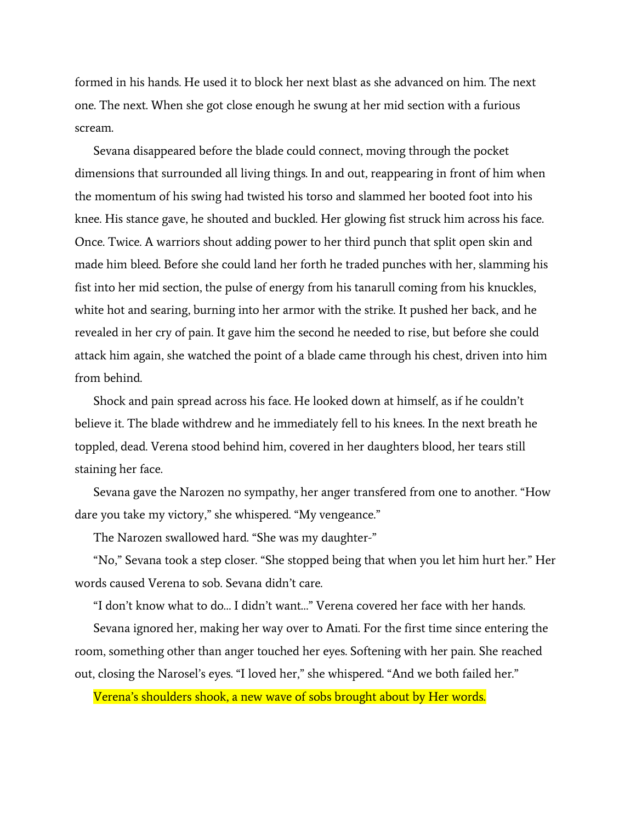formed in his hands. He used it to block her next blast as she advanced on him. The next one. The next. When she got close enough he swung at her mid section with a furious scream.

Sevana disappeared before the blade could connect, moving through the pocket dimensions that surrounded all living things. In and out, reappearing in front of him when the momentum of his swing had twisted his torso and slammed her booted foot into his knee. His stance gave, he shouted and buckled. Her glowing fist struck him across his face. Once. Twice. A warriors shout adding power to her third punch that split open skin and made him bleed. Before she could land her forth he traded punches with her, slamming his fist into her mid section, the pulse of energy from his tanarull coming from his knuckles, white hot and searing, burning into her armor with the strike. It pushed her back, and he revealed in her cry of pain. It gave him the second he needed to rise, but before she could attack him again, she watched the point of a blade came through his chest, driven into him from behind.

Shock and pain spread across his face. He looked down at himself, as if he couldn't believe it. The blade withdrew and he immediately fell to his knees. In the next breath he toppled, dead. Verena stood behind him, covered in her daughters blood, her tears still staining her face.

Sevana gave the Narozen no sympathy, her anger transfered from one to another. "How dare you take my victory," she whispered. "My vengeance."

The Narozen swallowed hard. "She was my daughter-"

"No," Sevana took a step closer. "She stopped being that when you let him hurt her." Her words caused Verena to sob. Sevana didn't care.

"I don't know what to do… I didn't want…" Verena covered her face with her hands.

Sevana ignored her, making her way over to Amati. For the first time since entering the room, something other than anger touched her eyes. Softening with her pain. She reached out, closing the Narosel's eyes. "I loved her," she whispered. "And we both failed her."

Verena's shoulders shook, a new wave of sobs brought about by Her words.